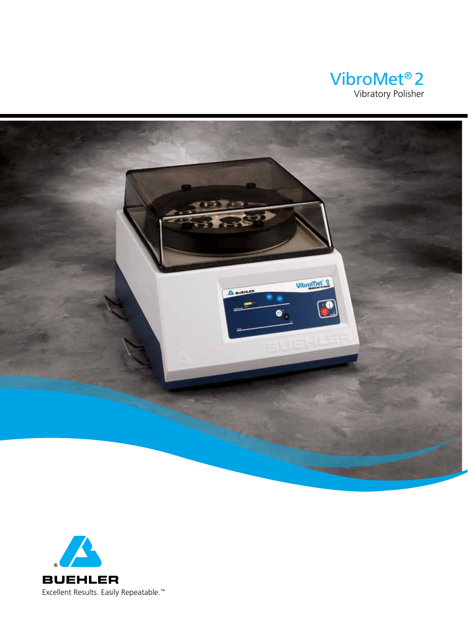